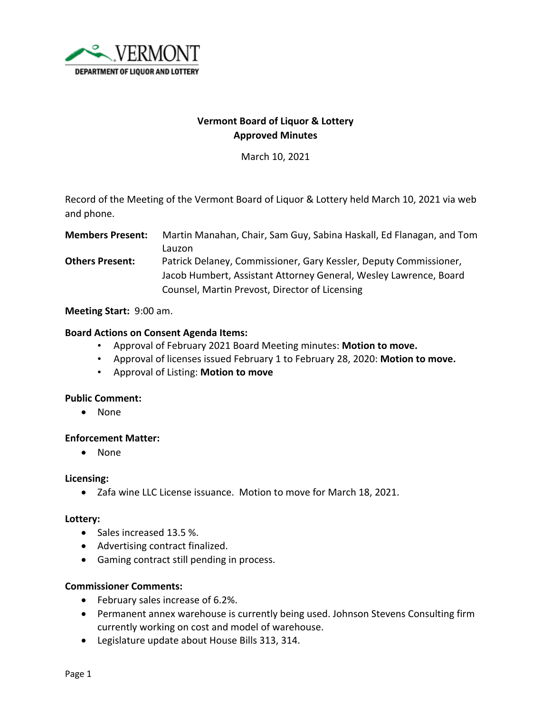

## **Vermont Board of Liquor & Lottery Approved Minutes**

March 10, 2021

Record of the Meeting of the Vermont Board of Liquor & Lottery held March 10, 2021 via web and phone.

**Members Present:** Martin Manahan, Chair, Sam Guy, Sabina Haskall, Ed Flanagan, and Tom Lauzon **Others Present:** Patrick Delaney, Commissioner, Gary Kessler, Deputy Commissioner, Jacob Humbert, Assistant Attorney General, Wesley Lawrence, Board Counsel, Martin Prevost, Director of Licensing

**Meeting Start:** 9:00 am.

## **Board Actions on Consent Agenda Items:**

- Approval of February 2021 Board Meeting minutes: **Motion to move.**
- Approval of licenses issued February 1 to February 28, 2020: **Motion to move.**
- Approval of Listing: **Motion to move**

## **Public Comment:**

• None

## **Enforcement Matter:**

• None

#### **Licensing:**

• Zafa wine LLC License issuance. Motion to move for March 18, 2021.

## **Lottery:**

- Sales increased 13.5 %.
- Advertising contract finalized.
- Gaming contract still pending in process.

## **Commissioner Comments:**

- February sales increase of 6.2%.
- Permanent annex warehouse is currently being used. Johnson Stevens Consulting firm currently working on cost and model of warehouse.
- Legislature update about House Bills 313, 314.